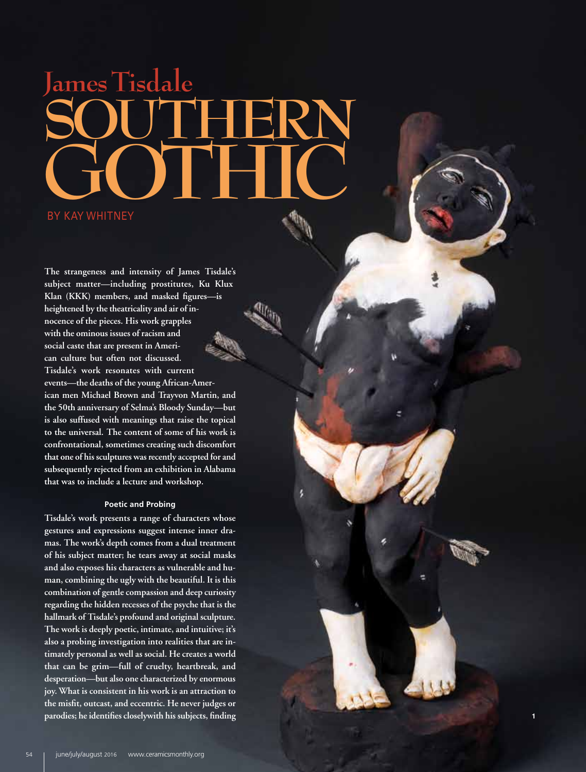## **James Tisdale Southern GOTHIC**

**The strangeness and intensity of James Tisdale's subject matter—including prostitutes, Ku Klux Klan (KKK) members, and masked figures—is heightened by the theatricality and air of in nocence of the pieces. His work grapples with the ominous issues of racism and social caste that are present in Ameri can culture but often not discussed. Tisdale's work resonates with current events—the deaths of the young African-Amer ican men Michael Brown and Trayvon Martin, and the 50th anniversary of Selma's Bloody Sunday—but is also suffused with meanings that raise the topical to the universal. The content of some of his work is confrontational, sometimes creating such discomfort that one of his sculptures was recently accepted for and subsequently rejected from an exhibition in Alabama that was to include a lecture and workshop.**

## **Poetic and Probing**

**Tisdale's work presents a range of characters whose gestures and expressions suggest intense inner dra mas. The work's depth comes from a dual treatment of his subject matter; he tears away at social masks and also exposes his characters as vulnerable and hu man, combining the ugly with the beautiful. It is this combination of gentle compassion and deep curiosity regarding the hidden recesses of the psyche that is the hallmark of Tisdale's profound and original sculpture. The work is deeply poetic, intimate, and intuitive; it's also a probing investigation into realities that are in timately personal as well as social. He creates a world that can be grim—full of cruelty, heartbreak, and desperation—but also one characterized by enormous joy. What is consistent in his work is an attraction to the misfit, outcast, and eccentric. He never judges or parodies; he identifies closelywith his subjects, finding**

**1**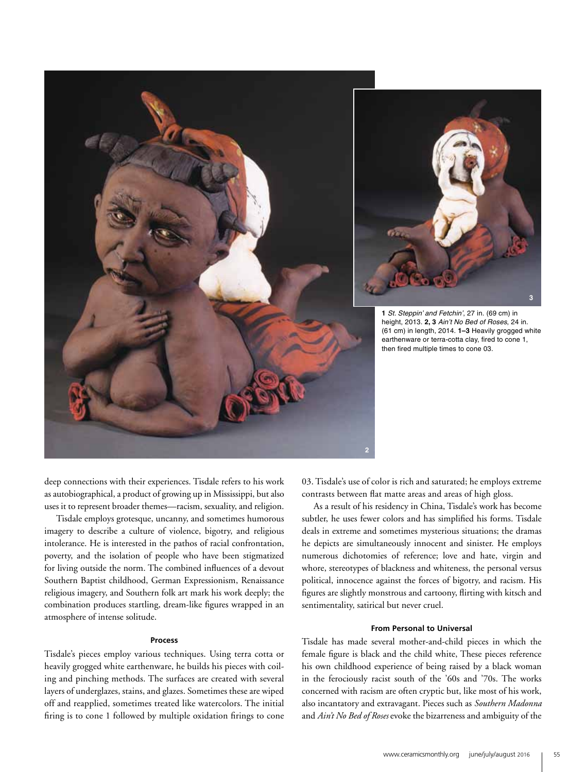

deep connections with their experiences. Tisdale refers to his work as autobiographical, a product of growing up in Mississippi, but also uses it to represent broader themes—racism, sexuality, and religion.

Tisdale employs grotesque, uncanny, and sometimes humorous imagery to describe a culture of violence, bigotry, and religious intolerance. He is interested in the pathos of racial confrontation, poverty, and the isolation of people who have been stigmatized for living outside the norm. The combined influences of a devout Southern Baptist childhood, German Expressionism, Renaissance religious imagery, and Southern folk art mark his work deeply; the combination produces startling, dream-like figures wrapped in an atmosphere of intense solitude.

## **Process**

Tisdale's pieces employ various techniques. Using terra cotta or heavily grogged white earthenware, he builds his pieces with coiling and pinching methods. The surfaces are created with several layers of underglazes, stains, and glazes. Sometimes these are wiped off and reapplied, sometimes treated like watercolors. The initial firing is to cone 1 followed by multiple oxidation firings to cone

03. Tisdale's use of color is rich and saturated; he employs extreme contrasts between flat matte areas and areas of high gloss.

As a result of his residency in China, Tisdale's work has become subtler, he uses fewer colors and has simplified his forms. Tisdale deals in extreme and sometimes mysterious situations; the dramas he depicts are simultaneously innocent and sinister. He employs numerous dichotomies of reference; love and hate, virgin and whore, stereotypes of blackness and whiteness, the personal versus political, innocence against the forces of bigotry, and racism. His figures are slightly monstrous and cartoony, flirting with kitsch and sentimentality, satirical but never cruel.

## **From Personal to Universal**

Tisdale has made several mother-and-child pieces in which the female figure is black and the child white, These pieces reference his own childhood experience of being raised by a black woman in the ferociously racist south of the '60s and '70s. The works concerned with racism are often cryptic but, like most of his work, also incantatory and extravagant. Pieces such as *Southern Madonna* and *Ain't No Bed of Roses* evoke the bizarreness and ambiguity of the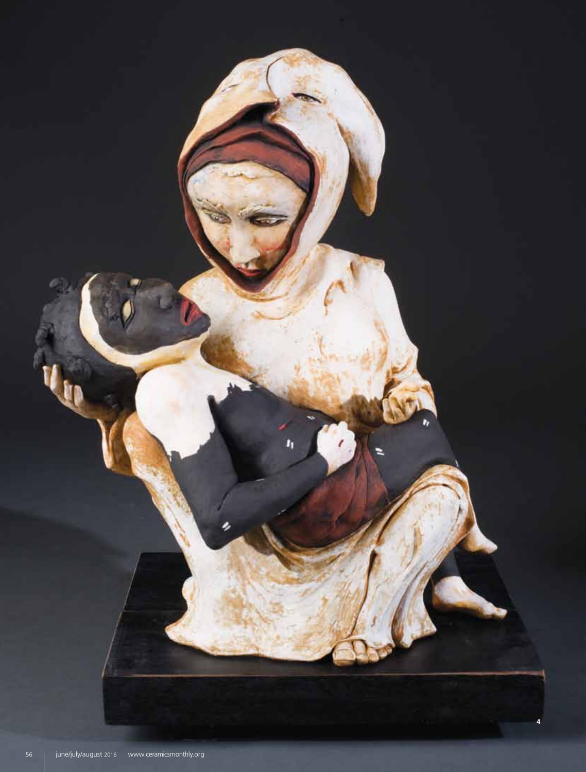